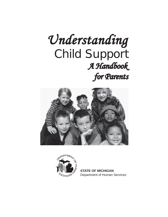# $Understanding$  Child Support  *A Handbook for Parents for Parents*





**STATE OF MICHIGAN** Department of Human Services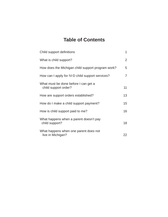# **Table of Contents**

| Child support definitions                                    | 1  |
|--------------------------------------------------------------|----|
| What is child support?                                       | 2  |
| How does the Michigan child support program work?            | 5  |
| How can I apply for IV-D child support services?             | 7  |
| What must be done before I can get a<br>child support order? | 11 |
| How are support orders established?                          | 13 |
| How do I make a child support payment?                       | 15 |
| How is child support paid to me?                             | 16 |
| What happens when a parent doesn't pay<br>child support?     | 18 |
| What happens when one parent does not<br>live in Michigan?   | 22 |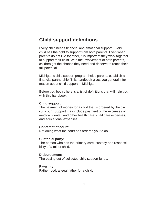# **Child support definitions**

Every child needs financial and emotional support. Every child has the right to support from both parents. Even when parents do not live together, it is important they work together to support their child. With the involvement of both parents, children get the chance they need and deserve to reach their full potential.

Michigan's child support program helps parents establish a financial partnership. This handbook gives you general information about child support in Michigan.

Before you begin, here is a list of definitions that will help you with this handbook:

### **Child support:**

The payment of money for a child that is ordered by the circuit court. Support may include payment of the expenses of medical, dental, and other health care, child care expenses, and educational expenses.

#### **Contempt of court:**

Not doing what the court has ordered you to do.

### **Custodial party:**

The person who has the primary care, custody and responsibility of a minor child.

#### **Disbursement:**

The paying out of collected child support funds.

#### **Paternity:**

Fatherhood; a legal father for a child.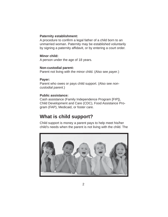### **Paternity establishment:**

A procedure to confirm a legal father of a child born to an unmarried woman. Paternity may be established voluntarily by signing a paternity affidavit, or by entering a court order.

### **Minor child:**

A person under the age of 18 years.

### **Non-custodial parent:**

Parent not living with the minor child. (Also see *payer*.)

### **Payer:**

Parent who owes or pays child support. (Also see *noncustodial parent*.)

### **Public assistance:**

Cash assistance (Family Independence Program [FIP]), Child Development and Care (CDC), Food Assistance Program (FAP), Medicaid, or foster care.

# **What is child support?**

Child support is money a parent pays to help meet his/her child's needs when the parent is not living with the child. The

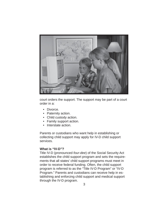

court orders the support. The support may be part of a court order in a:

- Divorce.
- Paternity action.
- Child custody action.
- Family support action.
- Interstate action.

Parents or custodians who want help in establishing or collecting child support may apply for IV-D child support services.

### **What is "IV-D"?**

Title IV-D (pronounced *four-dee*) of the Social Security Act establishes the child support program and sets the requirements that all states' child support programs must meet in order to receive federal funding. Often, the child support program is referred to as the "Title IV-D Program" or "IV-D Program." Parents and custodians can receive help in establishing and enforcing child support and medical support through the IV-D program.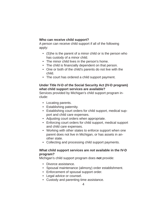### **Who can receive child support?**

A person can receive child support if all of the following apply:

- (S)he is the parent of a minor child or is the person who has custody of a minor child.
- The minor child lives in the person's home.
- The child is financially dependent on that person.
- One or both of the child's parents do not live with the child.
- The court has ordered a child support payment.

### **Under Title IV-D of the Social Security Act (IV-D program) what child support services are available?**

Services provided by Michigan's child support program include:

- Locating parents.
- Establishing paternity.
- Establishing court orders for child support, medical support and child care expenses.
- Adjusting court orders when appropriate.
- Enforcing court orders for child support, medical support and child care expenses.
- Working with other states to enforce support when one parent does not live in Michigan, or has assets in another state.
- Collecting and processing child support payments.

### **What child support services are** *not* **available in the IV-D program?**

Michigan's child support program does **not** provide:

- Divorce assistance.
- Spousal maintenance (alimony) order establishment.
- Enforcement of spousal support order.
- Legal advice or counsel.
- Custody and parenting time assistance.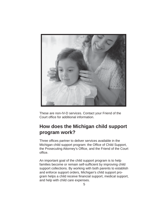

These are non-IV-D services. Contact your Friend of the Court office for additional information.

# **How does the Michigan child support program work?**

Three offices partner to deliver services available in the Michigan child support program: the Office of Child Support, the Prosecuting Attorney's Office, and the Friend of the Court office.

An important goal of the child support program is to help families become or remain self-sufficient by improving child support collections. By working with both parents to establish and enforce support orders, Michigan's child support program helps a child receive financial support, medical support, and help with child care expenses.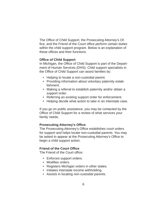The Office of Child Support, the Prosecuting Attorney's Office, and the Friend of the Court office perform certain duties within the child support program. Below is an explanation of these offices and their functions.

### **Office of Child Support**

In Michigan, the Office of Child Support is part of the Department of Human Services (DHS). Child support specialists in the Office of Child Support can assist families by:

- Helping to locate a non-custodial parent.
- Providing information about voluntary paternity establishment.
- Making a referral to establish paternity and/or obtain a support order.
- Referring an existing support order for enforcement.
- Helping decide what action to take in an interstate case.

If you go on public assistance, you may be contacted by the Office of Child Support for a review of what services your family needs.

### **Prosecuting Attorney's Office**

The Prosecuting Attorney's Office establishes court orders for support and helps locate non-custodial parents. You may be asked to appear at the Prosecuting Attorney's Office to begin a child support action.

#### **Friend of the Court Office**

The Friend of the Court office:

- Enforces support orders.
- Modifies orders.
- Registers Michigan orders in other states.
- Initiates interstate income withholding.
- Assists in locating non-custodial parents.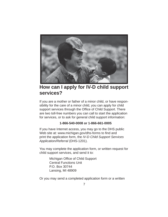

# **How can I apply for IV-D child support services?**

If you are a mother or father of a minor child, or have responsibility for the care of a minor child, you can apply for child support services through the Office of Child Support. There are two toll-free numbers you can call to start the application for services, or to ask for general child support information:

### **1-866-540-0008 or 1-866-661-0005**

If you have Internet access, you may go to the DHS public Web site at: www.michigan.gov/dhs-forms to find and print the application form, the *IV-D Child Support Services Application/Referral* (DHS-1201).

You may complete the application form, or written request for child support services, and send it to:

> Michigan Office of Child Support Central Functions Unit P.O. Box 30744 Lansing, MI 48909

Or you may send a completed application form or a written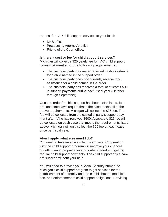request for IV-D child support services to your local:

- DHS office.
- Prosecuting Attorney's office.
- Friend of the Court office.

**Is there a cost or fee for child support services?** Michigan will collect a \$25 yearly fee for IV-D child support cases **that meet all of the following requirements:**

- The custodial party has **never** received cash assistance for a child named in the support order.
- The custodial party does **not** currently receive food assistance for a child named in the order.
- The custodial party has received a total of at least \$500 in support payments during each fiscal year (October through September).

Once an order for child support has been established, federal and state laws require that if the case meets all of the above requirements, Michigan will collect the \$25 fee. The fee will be collected from the custodial party's support payment after (s)he has received \$500. A separate \$25 fee will be collected on each case that meets the requirements listed above. Michigan will only collect the \$25 fee on each case once per fiscal year.

#### **After I apply, what else must I do?**

You need to take an active role in your case. Cooperation with the child support program will improve your chances of getting an appropriate support order started and getting regular child support payments. The child support office cannot succeed without your help.

You will need to provide your Social Security number to Michigan's child support program to get services for the establishment of paternity and the establishment, modification, and enforcement of child support obligations. Providing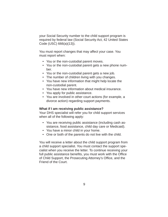your Social Security number to the child support program is required by federal law (Social Security Act, 42 United States Code (USC) 666(a)(13)).

You must report changes that may affect your case. You must report when:

- You or the non-custodial parent moves.
- You or the non-custodial parent gets a new phone number.
- You or the non-custodial parent gets a new job.
- The number of children living with you changes.
- You have new information that might help locate the non-custodial parent.
- You have new information about medical insurance.
- You apply for public assistance.
- You are involved in other court actions (for example, a divorce action) regarding support payments.

#### **What if I am receiving public assistance?**

Your DHS specialist will refer you for child support services when all of the following apply:

- You are receiving public assistance (including cash assistance, food assistance, child day care or Medicaid).
- You have a minor child in your home.
- One or both of the parents do not live with the child.

You will receive a letter about the child support program from a child support specialist. You must contact the support specialist when you receive the letter. To continue receiving your full public assistance benefits, you must work with the Office of Child Support, the Prosecuting Attorney's Office, and the Friend of the Court.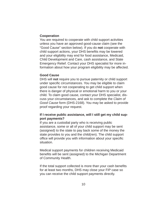### **Cooperation**

You are required to cooperate with child support activities unless you have an approved good-cause claim (see the "Good Cause" section below). If you do **not** cooperate with child support actions, your DHS benefits may be lowered and your eligibility may end for food assistance, Medicaid, Child Development and Care, cash assistance, and State Emergency Relief. Contact your DHS specialist for more information about how your program eligibility may be affected.

#### **Good Cause**

DHS will **not** require you to pursue paternity or child support under specific circumstances. You may be eligible to claim good cause for not cooperating to get child support when there is danger of physical or emotional harm to you or your child. To claim good cause, contact your DHS specialist, discuss your circumstances, and ask to complete the *Claim of Good Cause* form (DHS-2168). You may be asked to provide proof regarding your request.

### **If I receive public assistance, will I still get my child support payments?**

If you are a custodial party who is receiving public assistance, some or all of your child support may be sent (assigned) to the state to pay back some of the money the state provides to you and the child(ren). The child support office will provide you with information about your specific situation.

Medical support payments for children receiving Medicaid benefits will be sent (assigned) to the Michigan Department of Community Health.

If the total support collected is more than your cash benefits for at least two months, DHS may close your FIP case so you can receive the child support payments directly.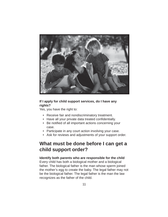

### **If I apply for child support services, do I have any rights?**

Yes, you have the right to:

- Receive fair and nondiscriminatory treatment.
- Have all your private data treated confidentially.
- Be notified of all important actions concerning your case.
- Participate in any court action involving your case.
- Ask for reviews and adjustments of your support order.

# **What must be done before I can get a child support order?**

**Identify both parents who are responsible for the child** Every child has both a biological mother and a biological father. The biological father is the man whose sperm joined the mother's egg to create the baby. The legal father may not be the biological father. The legal father is the man the law recognizes as the father of the child.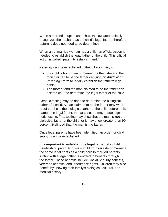When a married couple has a child, the law automatically recognizes the husband as the child's legal father; therefore, paternity does not need to be determined.

When an unmarried woman has a child, an official action is needed to establish the legal father of the child. This official action is called "paternity establishment."

Paternity can be established in the following ways:

- If a child is born to an unmarried mother, she and the man claimed to be the father can sign an *Affi davit of Parentage* form to legally establish the father's legal rights.
- The mother and the man claimed to be the father can ask the court to determine the legal father of the child.

Genetic testing may be done to determine the biological father of a child. A man claimed to be the father may want proof that he is the biological father of the child before he is named the legal father. In that case, he may request genetic testing. This testing may show that the man is **not** the biological father of the child, or it may show greater than 99 percent likelihood that the man is the father.

Once legal parents have been identified, an order for child support can be established.

#### **It is important to establish the legal father of a child**

Establishing paternity gives a child born outside of marriage the same legal rights as a child born to married parents. A child with a legal father is entitled to benefits through the father. These benefits include Social Security benefits, veterans benefits, and inheritance rights. Children may also benefit by knowing their family's biological, cultural, and medical history.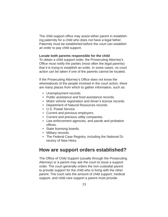The child support office may assist either parent in establishing paternity for a child who does not have a legal father. Paternity must be established before the court can establish an order to pay child support.

#### **Locate both parents responsible for the child**

To obtain a child support order, the Prosecuting Attorney's Office must notify the parties (most often the legal parents) that it is trying to establish an order. In some cases, no court action can be taken if one of the parents cannot be located.

If the Prosecuting Attorney's Office does not know the whereabouts of the people involved in the court action, there are many places from which to gather information, such as:

- Unemployment records.
- Public assistance and food assistance records.
- Motor vehicle registration and driver's license records.
- Department of Natural Resources records.
- U.S. Postal Service.
- Current and previous employers.
- Current and previous utility companies.
- Law enforcement agencies, and parole and probation offices.
- State licensing boards.
- Military records.
- The Federal Case Registry, including the National Directory of New Hires.

### **How are support orders established?**

The Office of Child Support (usually through the Prosecuting Attorney) or a parent may ask the court to issue a support order. The court generally orders the non-custodial parent to provide support for the child who is living with the other parent. The court sets the amount of child support, medical support, and child care support a parent must provide.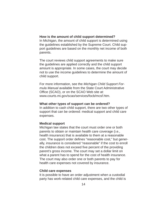#### **How is the amount of child support determined?**

In Michigan, the amount of child support is determined using the guidelines established by the Supreme Court. Child support guidelines are based on the monthly net income of both parents.

The court reviews child support agreements to make sure the guidelines are applied correctly and the child support amount is appropriate. In some cases, the court may decide not to use the income guidelines to determine the amount of child support.

For more information, see the *Michigan Child Support Formula Manual* available from the State Court Administrative Office (SCAO), or on the SCAO Web site at: www.courts.mi.gov/scao/services/focb/mcsf.htm.

#### **What other types of support can be ordered?**

In addition to cash child support, there are two other types of support that can be ordered: medical support and child care expenses.

#### **Medical support**

Michigan law states that the court must order one or both parents to obtain or maintain health care coverage (i.e., health insurance) that is available to them at a reasonable cost. The support order defines "reasonable cost," but generally, insurance is considered "reasonable" if the cost to enroll the children does not exceed five percent of the providing parent's gross income. The court may set a dollar limit on what a parent has to spend for the cost of health insurance. The court may also order one or both parents to pay for health care expenses not covered by insurance.

#### **Child care expenses**

It is possible to have an order adjustment when a custodial party has work-related child care expenses, and the child is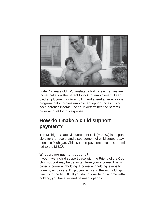

under 12 years old. Work-related child care expenses are those that allow the parent to look for employment, keep paid employment, or to enroll in and attend an educational program that improves employment opportunities. Using each parent's income, the court determines the parents' order amount for this expense.

# **How do I make a child support payment?**

The Michigan State Disbursement Unit (MiSDU) is responsible for the receipt and disbursement of child support payments in Michigan. Child support payments must be submitted to the MiSDU.

#### **What are my payment options?**

If you have a child support case with the Friend of the Court, child support may be deducted from your income. This is called income withholding. Income withholding is mostly done by employers. Employers will send the withholdings directly to the MiSDU. If you do not qualify for income withholding, you have several payment options: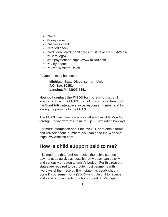- Check.
- Money order.
- Cashier's check.
- Certified check.
- Credit/debit card (debit cards must have the VISA/MasterCard logo).
- Web payment on https://www.misdu.com.
- Pay by phone.
- Pay via Western Union.

Payments must be sent to:

### **Michigan State Disbursement Unit P.O. Box 30351 Lansing, MI 48909-7851**

#### **How do I contact the MiSDU for more information?**

You can contact the MiSDU by calling your local Friend of the Court IVR (interactive voice response) number and following the prompts to the MiSDU.

The MiSDU customer services staff are available Monday through Friday from 7:30 a.m. to 6 p.m., excluding holidays.

For more information about the MiSDU, or to obtain forms and IVR telephone numbers, you can go to the Web site: https://www.misdu.com.

## **How is child support paid to me?**

It is important that families receive their child support payments as quickly as possible. Any delay can quickly and seriously threaten a family's budget. For this reason, states are required to distribute most payments within two days of their receipt. Each state has established a State Disbursement Unit (SDU)—a single unit to receive and send out payments for child support. In Michigan,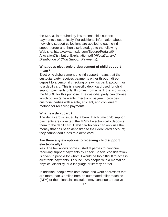the MiSDU is required by law to send child support payments electronically. For additional information about how child support collections are applied to each child support order and then distributed, go to the following Web site: https://www.misdu.com/Secure/Portals/0/ AllocationDistributionExplanation.pdf (*Allocation and Distribution of Child Support Payments*).

### **What does electronic disbursement of child support mean?**

Electronic disbursement of child support means that the custodial party receives payments either through direct deposit to a personal checking or savings bank account, or to a debit card. This is a specific debit card used for child support payments only. It comes from a bank that works with the MiSDU for this purpose. The custodial party can choose which option (s)he wants. Electronic payment provides custodial parties with a safe, efficient, and convenient method for receiving payments.

### **What is a debit card?**

The debit card is issued by a bank. Each time child support payments are collected, the MiSDU electronically deposits them to the debit card. Debit cardholders can only use the money that has been deposited to their debit card account; they cannot add funds to a debit card.

### **Are there any exceptions to receiving child support electronically?**

Yes. The law allows some custodial parties to continue receiving support payments by check. Special consideration is given to people for whom it would be too difficult to access electronic payments. This includes people with a mental or physical disability, or a language or literacy barrier.

In addition, people with both home and work addresses that are more than 30 miles from an automated teller machine (ATM) or their financial institution may continue to receive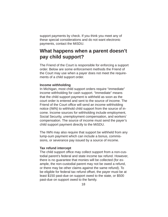support payments by check. If you think you meet any of these special considerations and do not want electronic payments, contact the MiSDU.

# **What happens when a parent doesn't pay child support?**

The Friend of the Court is responsible for enforcing a support order. Below are some enforcement methods the Friend of the Court may use when a payer does not meet the requirements of a child support order.

### **Income withholding**

In Michigan, most child support orders require "immediate" income withholding for cash support. "Immediate" means that the child support payment is withheld as soon as the court order is entered and sent to the source of income. The Friend of the Court office will send an income withholding notice (IWN) to withhold child support from the source of income. Income sources for withholding include employment, Social Security, unemployment compensation, and workers' compensation. The source of income must send the payer's child support payment directly to the MiSDU.

The IWN may also require that support be withheld from any lump-sum payment which can include a bonus, commissions, or severance pay issued by a source of income.

### **Tax refund intercept**

The child support office may collect support from a non-custodial parent's federal and state income tax refund. However, there is no guarantee that monies will be collected (for example, the non-custodial parent may not be owed a refund, or there may be other claims against the same refund). To be eligible for federal tax refund offset, the payer must be at least \$150 past-due on support owed to the state, or \$500 past-due on support owed to the family.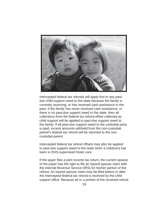

Intercepted federal tax refunds will apply first to any pastdue child support owed to the state because the family is currently receiving, or has received cash assistance in the past. If the family has never received cash assistance, or there is no past-due support owed to the state, then all collections from the federal tax refund offset collected as child support will be applied to past-due support owed to the family. If all past-due support owed to the custodial party is paid, excess amounts withheld from the non-custodial parent's federal tax refund will be returned to the noncustodial parent.

Intercepted federal tax refund offsets may also be applied to past-due support owed to the state when a child(ren) has been in DHS-supervised foster care.

If the payer files a joint income tax return, the current spouse of the payer has the right to file an injured spouse claim with the Internal Revenue Service (IRS) for his/her portion of the refund. An injured spouse claim may be filed before or after the intercepted federal tax refund is received by the child support office. Because all or a portion of the received refund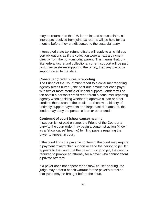may be returned to the IRS for an injured spouse claim, all intercepts received from joint tax returns will be held for six months before they are disbursed to the custodial party.

Intercepted state tax refund offsets will apply to all child support obligations as if the collection were an extra payment directly from the non-custodial parent. This means that, unlike federal tax refund collections, current support will be paid first, then past-due support to the family, then any past-due support owed to the state.

#### **Consumer (credit bureau) reporting**

The Friend of the Court must report to a consumer reporting agency (credit bureau) the past-due amount for each payer with two or more months of unpaid support. Lenders will often obtain a person's credit report from a consumer reporting agency when deciding whether to approve a loan or other credit to the person. If the credit report shows a history of untimely support payments or a large past-due amount, the lender may deny the person a loan or other credit.

#### **Contempt of court (show cause) hearing**

If support is not paid on time, the Friend of the Court or a party to the court order may begin a contempt action (known as a "show cause" hearing) by filing papers requiring the payer to appear in court.

If the court finds the payer in contempt, the court may require a payment toward child support or send the person to jail. If it appears to the court that the payer may go to jail, the court is required to provide an attorney for a payer who cannot afford a private attorney.

If a payer does not appear for a "show cause" hearing, the judge may order a bench warrant for the payer's arrest so that (s)he may be brought before the court.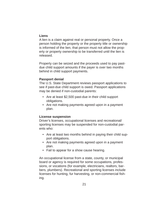### **Liens**

A lien is a claim against real or personal property. Once a person holding the property or the property title or ownership is informed of the lien, that person must not allow the property or property ownership to be transferred until the lien is released.

Property can be seized and the proceeds used to pay pastdue child support amounts if the payer is over two months behind in child support payments.

### **Passport denial**

The U.S. State Department reviews passport applications to see if past-due child support is owed. Passport applications may be denied if non-custodial parents:

- Are at least \$2,500 past-due in their child support obligations.
- Are not making payments agreed upon in a payment plan.

### **License suspension**

Driver's licenses, occupational licenses and recreational/ sporting licenses may be suspended for non-custodial parents who:

- Are at least two months behind in paying their child support obligations.
- Are not making payments agreed upon in a payment plan.
- Fail to appear for a show cause hearing.

An occupational license from a state, county, or municipal board or agency is required for some occupations, professions, or vocations (for example, electricians, realtors, barbers, plumbers). Recreational and sporting licenses include licenses for hunting, fur harvesting, or non-commercial fishing.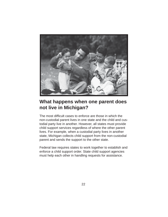

# **What happens when one parent does not live in Michigan?**

The most difficult cases to enforce are those in which the non-custodial parent lives in one state and the child and custodial party live in another. However, all states must provide child support services regardless of where the other parent lives. For example, when a custodial party lives in another state, Michigan collects child support from the non-custodial parent and sends the support to the other state.

Federal law requires states to work together to establish and enforce a child support order. State child support agencies must help each other in handling requests for assistance.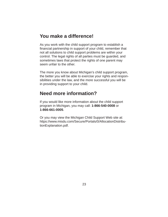# **You make a difference!**

As you work with the child support program to establish a financial partnership in support of your child, remember that not all solutions to child support problems are within your control. The legal rights of all parties must be guarded, and sometimes laws that protect the rights of one parent may seem unfair to the other.

The more you know about Michigan's child support program, the better you will be able to exercise your rights and responsibilities under the law, and the more successful you will be in providing support to your child.

# **Need more information?**

If you would like more information about the child support program in Michigan, you may call: **1-866-540-0008** or **1-866-661-0005**.

Or you may view the Michigan Child Support Web site at: https://www.misdu.com/Secure/Portals/0/AllocationDistributionExplanation.pdf.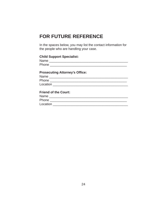# **FOR FUTURE REFERENCE**

In the spaces below, you may list the contact information for the people who are handling your case.

### **Child Support Specialist:**

| Name. | - - | -- |  |  |  |
|-------|-----|----|--|--|--|
| Phone |     |    |  |  |  |

### **Prosecuting Attorney's Office:**

| Name     |  |  |  |
|----------|--|--|--|
| Phone    |  |  |  |
| Location |  |  |  |
|          |  |  |  |

### **Friend of the Court:**

| Name     |  |  |
|----------|--|--|
| Phone    |  |  |
| Location |  |  |